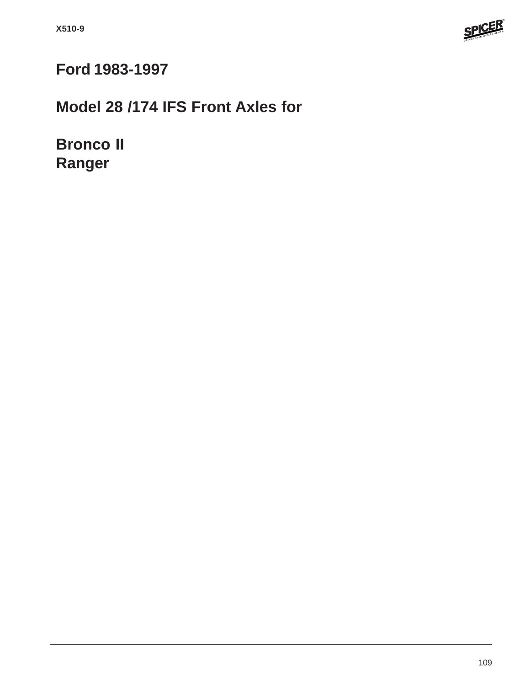

# **Ford 1983-1997**

# **Model 28 /174 IFS Front Axles for**

**Bronco II Ranger**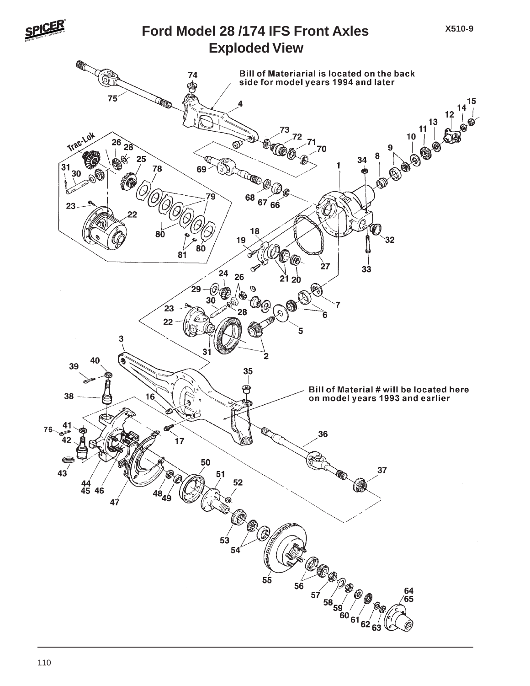

#### **Exploded View Ford Model 28 /174 IFS Front Axles**

**X510-9**

**Contract** Bill of Materiarial is located on the back<br>side for model years 1994 and later 74 ∖†  $12\begin{array}{c} 14 \\ 1 \ \end{array}$  $75$  $\overline{\mathbf{4}}$  $\begin{bmatrix} 11 \\ 1 \end{bmatrix}$ ΄3 Trac-Lok  $10$  $26\overline{)28}$ **BOO**  $^{\circ}$ 8 25 34 31 78 69 **COLOR** 30  $\mathbb{Q}$  $\mathbb{D}$  $68\frac{67}{66}$ 23  $\bm{\mathcal{C}}$ 18 8Ŏ  $32$ 19 IJ 80  $\overline{81}$ త **10** 27  $3\dot{3}$  $24$ 26  $2120$  $- 0$ ⊛ 29 Ø O)  $23$ 28 Ġ  $22$  $\overline{\mathbf{5}}$ 3  $31$ 2 40 39 35 习 Bill of Material # will be located here 38  $16$ on model years 1993 and earlier 41  $76-$ 36 42  $\overline{\mathbf{17}}$ ⋐ 50 37  $43^{'}$ **TA** 51 52  $\frac{44}{45}$  46 (O  $47$ C (P a<br>Co 53 54  $\overline{\mathcal{C}}_{\overline{\mathcal{C}}}$ 57  $55$ 57 58 59 60 61 62 6  $56$ 64<br>65 63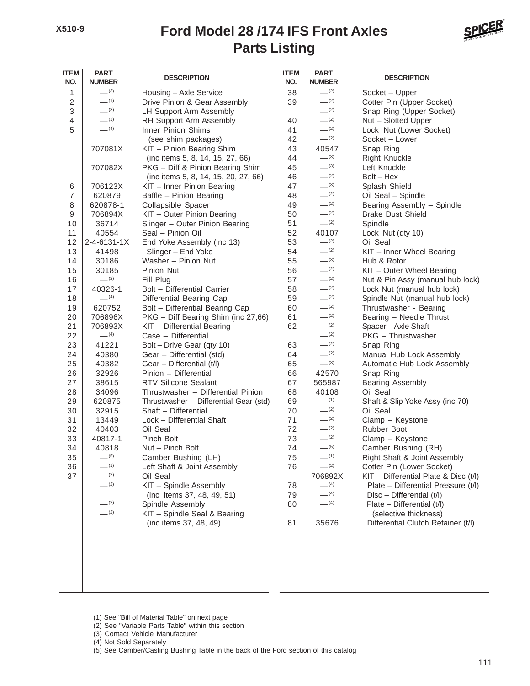#### **Parts Listing Ford Model 28 /174 IFS Front Axles**



| <b>ITEM</b><br>NO. | <b>PART</b><br><b>NUMBER</b> | <b>DESCRIPTION</b>                      |    | <b>PART</b><br><b>NUMBER</b> | <b>DESCRIPTION</b>                                               |  |  |
|--------------------|------------------------------|-----------------------------------------|----|------------------------------|------------------------------------------------------------------|--|--|
| 1                  | $-^{(3)}$                    | Housing - Axle Service                  | 38 | $-^{(2)}$                    | Socket - Upper                                                   |  |  |
| 2                  | $-$ (1)                      | Drive Pinion & Gear Assembly            | 39 | $-^{(2)}$                    | Cotter Pin (Upper Socket)                                        |  |  |
| 3                  | $-^{(3)}$                    | LH Support Arm Assembly                 |    | $-^{(2)}$                    | Snap Ring (Upper Socket)                                         |  |  |
| 4                  | $-^{(3)}$                    | RH Support Arm Assembly                 | 40 | $-^{(2)}$                    | Nut - Slotted Upper                                              |  |  |
| 5                  | $- (4)$                      | Inner Pinion Shims                      | 41 | $-^{(2)}$                    | Lock Nut (Lower Socket)                                          |  |  |
|                    |                              | (see shim packages)                     | 42 | $-^{(2)}$                    | Socket - Lower                                                   |  |  |
|                    | 707081X                      | KIT - Pinion Bearing Shim               | 43 | 40547                        | Snap Ring                                                        |  |  |
|                    |                              | (inc items 5, 8, 14, 15, 27, 66)        | 44 | $-^{(3)}$                    | <b>Right Knuckle</b>                                             |  |  |
|                    | 707082X                      | PKG - Diff & Pinion Bearing Shim        | 45 | $-^{(3)}$                    | Left Knuckle                                                     |  |  |
|                    |                              | (inc items 5, 8, 14, 15, 20, 27, 66)    | 46 | $-^{(2)}$                    | $Bolt - Hex$                                                     |  |  |
| 6                  | 706123X                      | KIT - Inner Pinion Bearing              | 47 | $-^{(3)}$                    | Splash Shield                                                    |  |  |
| 7                  | 620879                       | Baffle - Pinion Bearing                 | 48 | $-^{(2)}$                    | Oil Seal - Spindle                                               |  |  |
| 8                  | 620878-1                     | Collapsible Spacer                      | 49 | $-^{(2)}$                    | Bearing Assembly - Spindle                                       |  |  |
| 9                  | 706894X                      | KIT - Outer Pinion Bearing              | 50 | $-^{(2)}$                    | <b>Brake Dust Shield</b>                                         |  |  |
| 10                 | 36714                        | Slinger - Outer Pinion Bearing          | 51 | $-^{(2)}$                    | Spindle                                                          |  |  |
| 11                 | 40554                        | Seal - Pinion Oil                       | 52 | 40107                        | Lock Nut (qty 10)                                                |  |  |
| 12                 | $2 - 4 - 6131 - 1X$          | End Yoke Assembly (inc 13)              | 53 | $-^{(2)}$                    | Oil Seal                                                         |  |  |
| 13                 | 41498                        | Slinger - End Yoke                      | 54 | $-^{(2)}$                    | KIT - Inner Wheel Bearing                                        |  |  |
| 14                 | 30186                        | Washer - Pinion Nut                     | 55 | $-^{(3)}$                    | Hub & Rotor                                                      |  |  |
| 15                 | 30185                        | Pinion Nut                              | 56 | $-$ (2)                      | KIT - Outer Wheel Bearing                                        |  |  |
| 16                 | $-^{(2)}$                    | Fill Plug                               | 57 | $-^{(2)}$                    | Nut & Pin Assy (manual hub lock)                                 |  |  |
| 17                 | 40326-1                      | <b>Bolt - Differential Carrier</b>      | 58 | $- (2)$                      | Lock Nut (manual hub lock)                                       |  |  |
| 18                 | $-$ (4)                      | Differential Bearing Cap                | 59 | $-^{(2)}$                    | Spindle Nut (manual hub lock)                                    |  |  |
| 19                 | 620752                       | Bolt - Differential Bearing Cap         | 60 | $-^{(2)}$                    | Thrustwasher - Bearing                                           |  |  |
| 20                 | 706896X                      | PKG - Diff Bearing Shim (inc 27,66)     | 61 | $-^{(2)}$                    | Bearing - Needle Thrust                                          |  |  |
| 21                 | 706893X                      | KIT - Differential Bearing              | 62 | $-^{(2)}$                    | Spacer - Axle Shaft                                              |  |  |
| 22                 | $-$ (4)                      | Case - Differential                     |    | $-^{(2)}$                    | PKG - Thrustwasher                                               |  |  |
| 23                 | 41221                        | Bolt - Drive Gear (qty 10)              | 63 | $-^{(2)}$                    | Snap Ring                                                        |  |  |
| 24                 | 40380                        | Gear - Differential (std)               | 64 | $-^{(2)}$                    | Manual Hub Lock Assembly                                         |  |  |
| 25                 | 40382                        | Gear - Differential (t/l)               | 65 | $-^{(3)}$                    | Automatic Hub Lock Assembly                                      |  |  |
| 26                 | 32926                        | Pinion - Differential                   | 66 | 42570                        | Snap Ring                                                        |  |  |
| 27                 | 38615                        | <b>RTV Silicone Sealant</b>             | 67 | 565987                       | <b>Bearing Assembly</b>                                          |  |  |
| 28                 | 34096                        | Thrustwasher - Differential Pinion      | 68 | 40108                        | Oil Seal                                                         |  |  |
| 29                 | 620875                       | Thrustwasher - Differential Gear (std)  | 69 | $-$ (1)                      | Shaft & Slip Yoke Assy (inc 70)                                  |  |  |
| 30                 | 32915                        | Shaft - Differential                    | 70 | $-$ (2)                      | Oil Seal                                                         |  |  |
| 31                 | 13449                        | Lock - Differential Shaft               | 71 | $-^{(2)}$                    | Clamp - Keystone                                                 |  |  |
| 32                 | 40403                        | Oil Seal                                | 72 | $-^{(2)}$<br>$-^{(2)}$       | Rubber Boot                                                      |  |  |
| 33                 | 40817-1                      | Pinch Bolt                              | 73 | $-^{(5)}$                    | Clamp - Keystone                                                 |  |  |
| 34                 | 40818<br>$-^{(5)}$           | Nut - Pinch Bolt                        | 74 | $- (1)$                      | Camber Bushing (RH)                                              |  |  |
| 35                 | $-$ (1)                      | Camber Bushing (LH)                     | 75 | $-^{(2)}$                    | Right Shaft & Joint Assembly                                     |  |  |
| 36                 | $-$ (2)                      | Left Shaft & Joint Assembly<br>Oil Seal | 76 |                              | Cotter Pin (Lower Socket)                                        |  |  |
| 37                 | $-^{(2)}$                    | KIT - Spindle Assembly                  | 78 | 706892X<br>$-$ (4)           | KIT - Differential Plate & Disc (t/l)                            |  |  |
|                    |                              | (inc items 37, 48, 49, 51)              | 79 | $- (4)$                      | Plate - Differential Pressure (t/l)<br>Disc - Differential (t/l) |  |  |
|                    | $-^{(2)}$                    | Spindle Assembly                        | 80 | $-$ (4)                      | Plate - Differential (t/l)                                       |  |  |
|                    | $-^{(2)}$                    | KIT - Spindle Seal & Bearing            |    |                              | (selective thickness)                                            |  |  |
|                    |                              | (inc items 37, 48, 49)                  | 81 | 35676                        | Differential Clutch Retainer (t/l)                               |  |  |
|                    |                              |                                         |    |                              |                                                                  |  |  |
|                    |                              |                                         |    |                              |                                                                  |  |  |
|                    |                              |                                         |    |                              |                                                                  |  |  |
|                    |                              |                                         |    |                              |                                                                  |  |  |
|                    |                              |                                         |    |                              |                                                                  |  |  |

<sup>(1)</sup> See "Bill of Material Table" on next page

- (2) See "Variable Parts Table" within this section
- (3) Contact Vehicle Manufacturer
- (4) Not Sold Separately
- (5) See Camber/Casting Bushing Table in the back of the Ford section of this catalog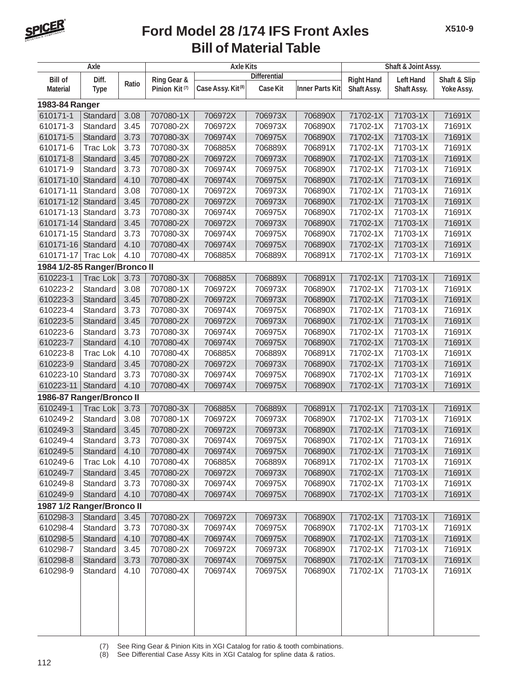

## **Bill of Material Table Ford Model 28 /174 IFS Front Axles**

| Axle                                                                                                                                       |                      |              |                           | <b>Axle Kits</b>              | Shaft & Joint Assy. |                        |                      |                      |            |  |
|--------------------------------------------------------------------------------------------------------------------------------------------|----------------------|--------------|---------------------------|-------------------------------|---------------------|------------------------|----------------------|----------------------|------------|--|
| <b>Bill of</b><br>Diff.                                                                                                                    |                      |              | <b>Ring Gear &amp;</b>    |                               |                     | <b>Right Hand</b>      | <b>Left Hand</b>     | Shaft & Slip         |            |  |
| <b>Material</b>                                                                                                                            | <b>Type</b>          | Ratio        | Pinion Kit <sup>(7)</sup> | Case Assy. Kit <sup>(8)</sup> | Case Kit            | <b>Inner Parts Kit</b> | Shaft Assy.          | <b>Shaft Assy.</b>   | Yoke Assy. |  |
| 1983-84 Ranger                                                                                                                             |                      |              |                           |                               |                     |                        |                      |                      |            |  |
| 610171-1                                                                                                                                   | Standard             | 3.08         | 707080-1X                 | 706972X                       | 706973X             | 706890X                | 71702-1X             | 71703-1X             | 71691X     |  |
| 610171-3                                                                                                                                   | Standard             | 3.45         | 707080-2X                 | 706972X                       | 706973X             | 706890X                | 71702-1X             | 71703-1X             | 71691X     |  |
| 610171-5                                                                                                                                   | Standard             | 3.73         | 707080-3X                 | 706974X                       | 706975X             | 706890X                | 71702-1X             | 71703-1X             | 71691X     |  |
| 610171-6                                                                                                                                   | <b>Trac Lok</b>      | 3.73         | 707080-3X                 | 706885X                       | 706889X             | 706891X                | 71702-1X             | 71703-1X             | 71691X     |  |
| 610171-8                                                                                                                                   | Standard             | 3.45         | 707080-2X                 | 706972X                       | 706973X             | 706890X                | 71702-1X             | 71703-1X             | 71691X     |  |
| 610171-9                                                                                                                                   | Standard             | 3.73         | 707080-3X                 | 706974X                       | 706975X             | 706890X                | 71702-1X             | 71703-1X             | 71691X     |  |
| 610171-10                                                                                                                                  | Standard             | 4.10         | 707080-4X                 | 706974X                       | 706975X             | 706890X                | 71702-1X             | 71703-1X             | 71691X     |  |
| 610171-11                                                                                                                                  | Standard             | 3.08         | 707080-1X                 | 706972X                       | 706973X             | 706890X                | 71702-1X             | 71703-1X             | 71691X     |  |
| 610171-12                                                                                                                                  | Standard             | 3.45         | 707080-2X                 | 706972X                       | 706973X             | 706890X                | 71702-1X             | 71703-1X             | 71691X     |  |
| 610171-13                                                                                                                                  | Standard             | 3.73         | 707080-3X                 | 706974X                       | 706975X             | 706890X                | 71702-1X             | 71703-1X             | 71691X     |  |
| 610171-14                                                                                                                                  | Standard             | 3.45         | 707080-2X                 | 706972X                       | 706973X             | 706890X                | 71702-1X             | 71703-1X             | 71691X     |  |
| 610171-15                                                                                                                                  | Standard             | 3.73         | 707080-3X                 | 706974X                       | 706975X             | 706890X                | 71702-1X             | 71703-1X             | 71691X     |  |
| 610171-16                                                                                                                                  | Standard             | 4.10         | 707080-4X                 | 706974X                       | 706975X             | 706890X                | 71702-1X             | 71703-1X             | 71691X     |  |
|                                                                                                                                            |                      |              |                           |                               |                     |                        |                      |                      | 71691X     |  |
| 610171-17<br><b>Trac Lok</b><br>4.10<br>707080-4X<br>706885X<br>706889X<br>706891X<br>71702-1X<br>71703-1X<br>1984 1/2-85 Ranger/Bronco II |                      |              |                           |                               |                     |                        |                      |                      |            |  |
| 610223-1                                                                                                                                   | <b>Trac Lok</b>      | 3.73         | 707080-3X                 | 706885X                       | 706889X             | 706891X                | 71702-1X             | 71703-1X             | 71691X     |  |
| 610223-2                                                                                                                                   | Standard             | 3.08         | 707080-1X                 | 706972X                       | 706973X             | 706890X                | 71702-1X             | 71703-1X             | 71691X     |  |
| 610223-3                                                                                                                                   | Standard             | 3.45         | 707080-2X                 | 706972X                       | 706973X             | 706890X                | 71702-1X             | 71703-1X             | 71691X     |  |
| 610223-4                                                                                                                                   | Standard             | 3.73         | 707080-3X                 | 706974X                       | 706975X             | 706890X                | 71702-1X             | 71703-1X             | 71691X     |  |
| 610223-5                                                                                                                                   | Standard             | 3.45         | 707080-2X                 | 706972X                       | 706973X             | 706890X                | 71702-1X             | 71703-1X             | 71691X     |  |
| 610223-6                                                                                                                                   | Standard             | 3.73         | 707080-3X                 | 706974X                       | 706975X             | 706890X                | 71702-1X             | 71703-1X             | 71691X     |  |
| 610223-7                                                                                                                                   | Standard             | 4.10         | 707080-4X                 | 706974X                       | 706975X             | 706890X                | 71702-1X             | 71703-1X             | 71691X     |  |
| 610223-8                                                                                                                                   | <b>Trac Lok</b>      | 4.10         | 707080-4X                 | 706885X                       | 706889X             | 706891X                | 71702-1X             | 71703-1X             | 71691X     |  |
| 610223-9                                                                                                                                   |                      | 3.45         | 707080-2X                 | 706972X                       | 706973X             | 706890X                | 71702-1X             | 71703-1X             | 71691X     |  |
|                                                                                                                                            | Standard             |              | 707080-3X                 | 706974X                       |                     |                        |                      |                      | 71691X     |  |
| 610223-10                                                                                                                                  | Standard             | 3.73         |                           |                               | 706975X             | 706890X<br>706890X     | 71702-1X<br>71702-1X | 71703-1X<br>71703-1X |            |  |
| 610223-11<br>1986-87 Ranger/Bronco II                                                                                                      | Standard             | 4.10         | 707080-4X                 | 706974X                       | 706975X             |                        |                      |                      | 71691X     |  |
| 610249-1                                                                                                                                   | <b>Trac Lok</b>      | 3.73         | 707080-3X                 | 706885X                       | 706889X             | 706891X                | 71702-1X             | 71703-1X             | 71691X     |  |
|                                                                                                                                            |                      |              | 707080-1X                 | 706972X                       | 706973X             | 706890X                | 71702-1X             | 71703-1X             | 71691X     |  |
| 610249-2                                                                                                                                   | Standard             | 3.08         |                           | 706972X                       |                     | 706890X                |                      | 71703-1X             | 71691X     |  |
| 610249-3<br>610249-4                                                                                                                       | Standard             | 3.45<br>3.73 | 707080-2X                 |                               | 706973X             |                        | 71702-1X<br>71702-1X | 71703-1X             |            |  |
|                                                                                                                                            | Standard             |              | 707080-3X                 | 706974X                       | 706975X             | 706890X                |                      |                      | 71691X     |  |
| 610249-5                                                                                                                                   | Standard             | 4.10         | 707080-4X                 | 706974X                       | 706975X             | 706890X                | 71702-1X             | 71703-1X             | 71691X     |  |
| 610249-6                                                                                                                                   | Trac Lok             | 4.10         | 707080-4X                 | 706885X                       | 706889X             | 706891X                | 71702-1X             | 71703-1X             | 71691X     |  |
| 610249-7                                                                                                                                   | Standard             | 3.45         | 707080-2X                 | 706972X                       | 706973X             | 706890X                | 71702-1X             | 71703-1X             | 71691X     |  |
| 610249-8                                                                                                                                   | Standard             | 3.73         | 707080-3X                 | 706974X                       | 706975X             | 706890X                | 71702-1X             | 71703-1X             | 71691X     |  |
| 610249-9                                                                                                                                   | Standard             | 4.10         | 707080-4X                 | 706974X                       | 706975X             | 706890X                | 71702-1X             | 71703-1X             | 71691X     |  |
| 1987 1/2 Ranger/Bronco II<br>610298-3                                                                                                      | Standard             | 3.45         | 707080-2X                 | 706972X                       | 706973X             | 706890X                | 71702-1X             | 71703-1X             | 71691X     |  |
|                                                                                                                                            | Standard             |              | 707080-3X                 | 706974X                       |                     | 706890X                | 71702-1X             | 71703-1X             | 71691X     |  |
| 610298-4                                                                                                                                   |                      | 3.73         |                           |                               | 706975X             |                        |                      |                      | 71691X     |  |
| 610298-5                                                                                                                                   | Standard             | 4.10         | 707080-4X                 | 706974X                       | 706975X<br>706973X  | 706890X                | 71702-1X             | 71703-1X             | 71691X     |  |
| 610298-7<br>610298-8                                                                                                                       | Standard<br>Standard | 3.45<br>3.73 | 707080-2X<br>707080-3X    | 706972X<br>706974X            | 706975X             | 706890X<br>706890X     | 71702-1X<br>71702-1X | 71703-1X<br>71703-1X | 71691X     |  |
| 610298-9                                                                                                                                   | Standard             |              | 707080-4X                 | 706974X                       |                     | 706890X                | 71702-1X             | 71703-1X             | 71691X     |  |
|                                                                                                                                            |                      | 4.10         |                           |                               | 706975X             |                        |                      |                      |            |  |
|                                                                                                                                            |                      |              |                           |                               |                     |                        |                      |                      |            |  |
|                                                                                                                                            |                      |              |                           |                               |                     |                        |                      |                      |            |  |

(7) See Ring Gear & Pinion Kits in XGI Catalog for ratio & tooth combinations.

(8) See Differential Case Assy Kits in XGI Catalog for spline data & ratios.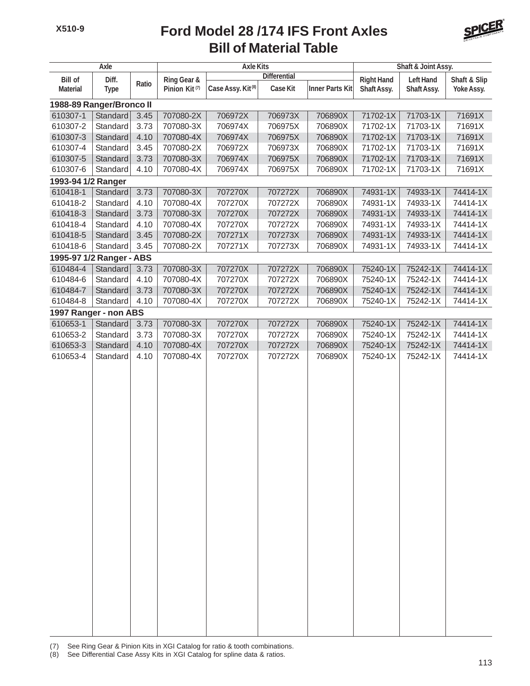## **Bill of Material Table Ford Model 28 /174 IFS Front Axles**



| <b>Axle</b>                      |             |             |                           | <b>Axle Kits</b>              |                   | Shaft & Joint Assy.    |              |             |            |  |  |  |
|----------------------------------|-------------|-------------|---------------------------|-------------------------------|-------------------|------------------------|--------------|-------------|------------|--|--|--|
| <b>Bill of</b><br>Diff.<br>Ratio |             | Ring Gear & | <b>Differential</b>       |                               | <b>Right Hand</b> | <b>Left Hand</b>       | Shaft & Slip |             |            |  |  |  |
| <b>Material</b>                  | <b>Type</b> |             | Pinion Kit <sup>(7)</sup> | Case Assy. Kit <sup>(8)</sup> | Case Kit          | <b>Inner Parts Kit</b> | Shaft Assy.  | Shaft Assy. | Yoke Assy. |  |  |  |
| 1988-89 Ranger/Bronco II         |             |             |                           |                               |                   |                        |              |             |            |  |  |  |
| 610307-1                         | Standard    | 3.45        | 707080-2X                 | 706972X                       | 706973X           | 706890X                | 71702-1X     | 71703-1X    | 71691X     |  |  |  |
| 610307-2                         | Standard    | 3.73        | 707080-3X                 | 706974X                       | 706975X           | 706890X                | 71702-1X     | 71703-1X    | 71691X     |  |  |  |
| 610307-3                         | Standard    | 4.10        | 707080-4X                 | 706974X                       | 706975X           | 706890X                | 71702-1X     | 71703-1X    | 71691X     |  |  |  |
| 610307-4                         | Standard    | 3.45        | 707080-2X                 | 706972X                       | 706973X           | 706890X                | 71702-1X     | 71703-1X    | 71691X     |  |  |  |
| 610307-5                         | Standard    | 3.73        | 707080-3X                 | 706974X                       | 706975X           | 706890X                | 71702-1X     | 71703-1X    | 71691X     |  |  |  |
| 610307-6                         | Standard    | 4.10        | 707080-4X                 | 706974X                       | 706975X           | 706890X                | 71702-1X     | 71703-1X    | 71691X     |  |  |  |
| 1993-94 1/2 Ranger               |             |             |                           |                               |                   |                        |              |             |            |  |  |  |
| 610418-1                         | Standard    | 3.73        | 707080-3X                 | 707270X                       | 707272X           | 706890X                | 74931-1X     | 74933-1X    | 74414-1X   |  |  |  |
| 610418-2                         | Standard    | 4.10        | 707080-4X                 | 707270X                       | 707272X           | 706890X                | 74931-1X     | 74933-1X    | 74414-1X   |  |  |  |
| 610418-3                         | Standard    | 3.73        | 707080-3X                 | 707270X                       | 707272X           | 706890X                | 74931-1X     | 74933-1X    | 74414-1X   |  |  |  |
| 610418-4                         | Standard    | 4.10        | 707080-4X                 | 707270X                       | 707272X           | 706890X                | 74931-1X     | 74933-1X    | 74414-1X   |  |  |  |
| 610418-5                         | Standard    | 3.45        | 707080-2X                 | 707271X                       | 707273X           | 706890X                | 74931-1X     | 74933-1X    | 74414-1X   |  |  |  |
| 610418-6                         | Standard    | 3.45        | 707080-2X                 | 707271X                       | 707273X           | 706890X                | 74931-1X     | 74933-1X    | 74414-1X   |  |  |  |
| 1995-97 1/2 Ranger - ABS         |             |             |                           |                               |                   |                        |              |             |            |  |  |  |
| 610484-4                         | Standard    | 3.73        | 707080-3X                 | 707270X                       | 707272X           | 706890X                | 75240-1X     | 75242-1X    | 74414-1X   |  |  |  |
| 610484-6                         | Standard    | 4.10        | 707080-4X                 | 707270X                       | 707272X           | 706890X                | 75240-1X     | 75242-1X    | 74414-1X   |  |  |  |
| 610484-7                         | Standard    | 3.73        | 707080-3X                 | 707270X                       | 707272X           | 706890X                | 75240-1X     | 75242-1X    | 74414-1X   |  |  |  |
| 610484-8                         | Standard    | 4.10        | 707080-4X                 | 707270X                       | 707272X           | 706890X                | 75240-1X     | 75242-1X    | 74414-1X   |  |  |  |
| 1997 Ranger - non ABS            |             |             |                           |                               |                   |                        |              |             |            |  |  |  |
| 610653-1                         | Standard    | 3.73        | 707080-3X                 | 707270X                       | 707272X           | 706890X                | 75240-1X     | 75242-1X    | 74414-1X   |  |  |  |
| 610653-2                         | Standard    | 3.73        | 707080-3X                 | 707270X                       | 707272X           | 706890X                | 75240-1X     | 75242-1X    | 74414-1X   |  |  |  |
| 610653-3                         | Standard    | 4.10        | 707080-4X                 | 707270X                       | 707272X           | 706890X                | 75240-1X     | 75242-1X    | 74414-1X   |  |  |  |
| 610653-4                         | Standard    | 4.10        | 707080-4X                 | 707270X                       | 707272X           | 706890X                | 75240-1X     | 75242-1X    | 74414-1X   |  |  |  |
|                                  |             |             |                           |                               |                   |                        |              |             |            |  |  |  |
|                                  |             |             |                           |                               |                   |                        |              |             |            |  |  |  |
|                                  |             |             |                           |                               |                   |                        |              |             |            |  |  |  |
|                                  |             |             |                           |                               |                   |                        |              |             |            |  |  |  |
|                                  |             |             |                           |                               |                   |                        |              |             |            |  |  |  |
|                                  |             |             |                           |                               |                   |                        |              |             |            |  |  |  |
|                                  |             |             |                           |                               |                   |                        |              |             |            |  |  |  |
|                                  |             |             |                           |                               |                   |                        |              |             |            |  |  |  |
|                                  |             |             |                           |                               |                   |                        |              |             |            |  |  |  |
|                                  |             |             |                           |                               |                   |                        |              |             |            |  |  |  |
|                                  |             |             |                           |                               |                   |                        |              |             |            |  |  |  |
|                                  |             |             |                           |                               |                   |                        |              |             |            |  |  |  |
|                                  |             |             |                           |                               |                   |                        |              |             |            |  |  |  |
|                                  |             |             |                           |                               |                   |                        |              |             |            |  |  |  |
|                                  |             |             |                           |                               |                   |                        |              |             |            |  |  |  |
|                                  |             |             |                           |                               |                   |                        |              |             |            |  |  |  |
|                                  |             |             |                           |                               |                   |                        |              |             |            |  |  |  |
|                                  |             |             |                           |                               |                   |                        |              |             |            |  |  |  |
|                                  |             |             |                           |                               |                   |                        |              |             |            |  |  |  |
|                                  |             |             |                           |                               |                   |                        |              |             |            |  |  |  |
|                                  |             |             |                           |                               |                   |                        |              |             |            |  |  |  |
|                                  |             |             |                           |                               |                   |                        |              |             |            |  |  |  |
|                                  |             |             |                           |                               |                   |                        |              |             |            |  |  |  |
|                                  |             |             |                           |                               |                   |                        |              |             |            |  |  |  |
|                                  |             |             |                           |                               |                   |                        |              |             |            |  |  |  |

(7) See Ring Gear & Pinion Kits in XGI Catalog for ratio & tooth combinations.

(8) See Differential Case Assy Kits in XGI Catalog for spline data & ratios.